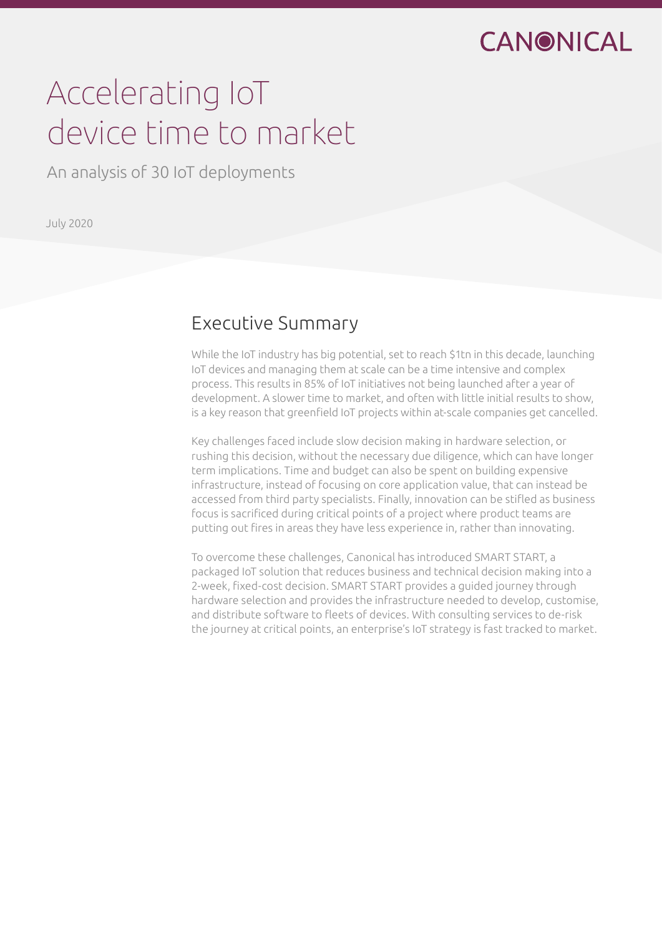## CANONICAL

# Accelerating IoT device time to market

An analysis of 30 IoT deployments

July 2020

### Executive Summary

While the IoT industry has big potential, set to reach \$1tn in this decade, launching IoT devices and managing them at scale can be a time intensive and complex process. This results in 85% of IoT initiatives not being launched after a year of development. A slower time to market, and often with little initial results to show, is a key reason that greenfield IoT projects within at-scale companies get cancelled.

Key challenges faced include slow decision making in hardware selection, or rushing this decision, without the necessary due diligence, which can have longer term implications. Time and budget can also be spent on building expensive infrastructure, instead of focusing on core application value, that can instead be accessed from third party specialists. Finally, innovation can be stifled as business focus is sacrificed during critical points of a project where product teams are putting out fires in areas they have less experience in, rather than innovating.

To overcome these challenges, Canonical has introduced SMART START, a packaged IoT solution that reduces business and technical decision making into a 2-week, fixed-cost decision. SMART START provides a guided journey through hardware selection and provides the infrastructure needed to develop, customise, and distribute software to fleets of devices. With consulting services to de-risk the journey at critical points, an enterprise's IoT strategy is fast tracked to market.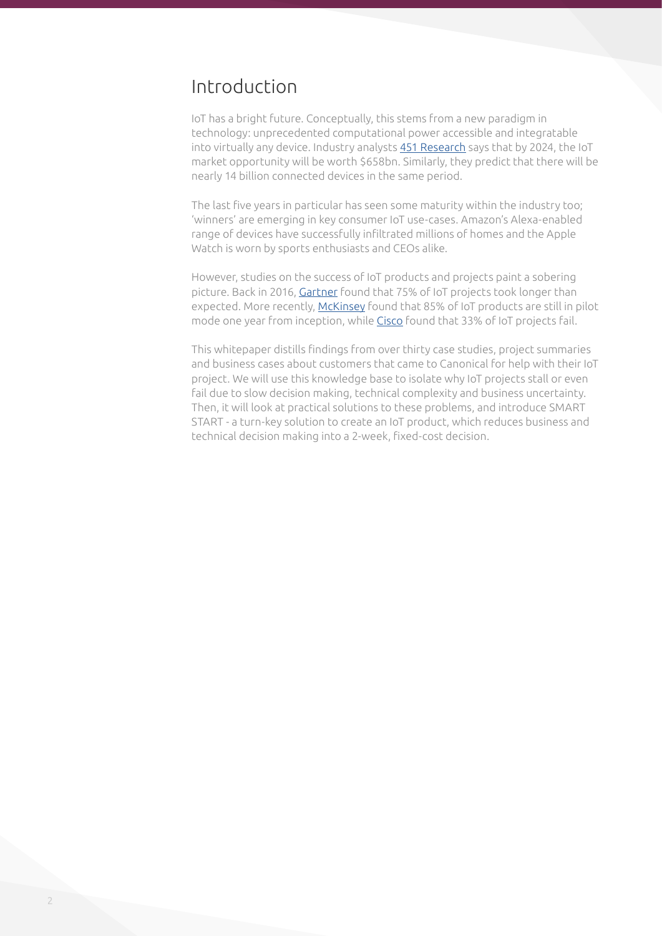### Introduction

IoT has a bright future. Conceptually, this stems from a new paradigm in technology: unprecedented computational power accessible and integratable into virtually any device. Industry analysts [451 Research](https://451research.com/451-research-analysis-of-iot-market-indicates-total-connected-devices-will-reach-13-billion-by-2024) says that by 2024, the IoT market opportunity will be worth \$658bn. Similarly, they predict that there will be nearly 14 billion connected devices in the same period.

The last five years in particular has seen some maturity within the industry too; 'winners' are emerging in key consumer IoT use-cases. Amazon's Alexa-enabled range of devices have successfully infiltrated millions of homes and the Apple Watch is worn by sports enthusiasts and CEOs alike.

However, studies on the success of IoT products and projects paint a sobering picture. Back in 2016, [Gartner](https://www.gartner.com/en/newsroom/press-releases/2016-01-14-gartner-says-by-2020-more-than-half-of-major-new-business-processes-and-systems-will-incorporate-some-element-of-the-internet-of-things) found that 75% of IoT projects took longer than expected. More recently, [McKinsey](https://www.mckinsey.com/business-functions/operations/our-insights/operations-blog/its-the-last-it-ot-mile-that-matters-in-avoiding-industry-40s-pilot-purgatory) found that 85% of IoT products are still in pilot mode one year from inception, while [Cisco](https://newsroom.cisco.com/press-release-content?articleId=1847422) found that 33% of IoT projects fail.

This whitepaper distills findings from over thirty case studies, project summaries and business cases about customers that came to Canonical for help with their IoT project. We will use this knowledge base to isolate why IoT projects stall or even fail due to slow decision making, technical complexity and business uncertainty. Then, it will look at practical solutions to these problems, and introduce SMART START - a turn-key solution to create an IoT product, which reduces business and technical decision making into a 2-week, fixed-cost decision.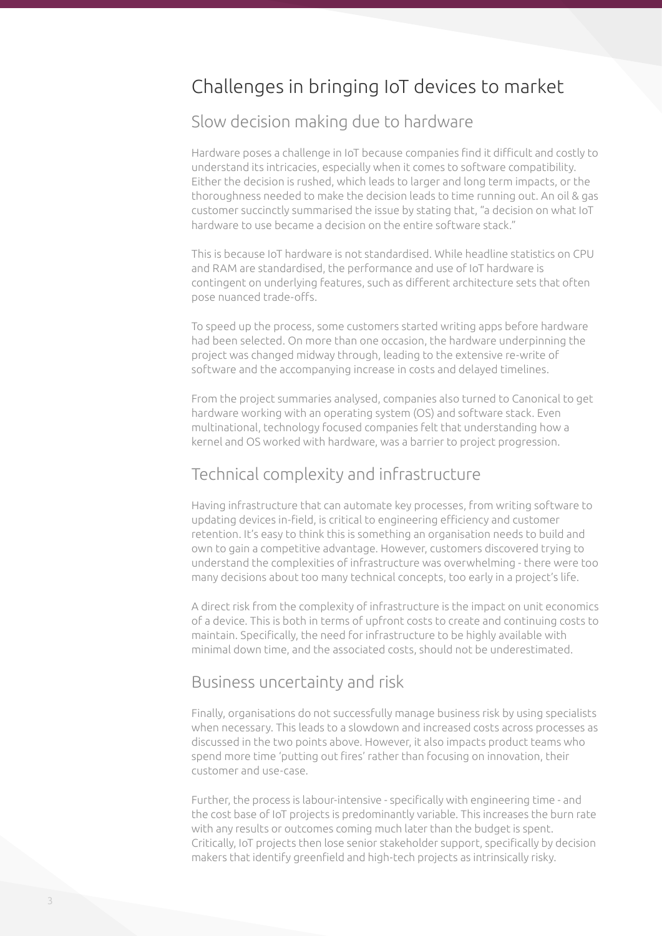### Challenges in bringing IoT devices to market

### Slow decision making due to hardware

Hardware poses a challenge in IoT because companies find it difficult and costly to understand its intricacies, especially when it comes to software compatibility. Either the decision is rushed, which leads to larger and long term impacts, or the thoroughness needed to make the decision leads to time running out. An oil & gas customer succinctly summarised the issue by stating that, "a decision on what IoT hardware to use became a decision on the entire software stack."

This is because IoT hardware is not standardised. While headline statistics on CPU and RAM are standardised, the performance and use of IoT hardware is contingent on underlying features, such as different architecture sets that often pose nuanced trade-offs.

To speed up the process, some customers started writing apps before hardware had been selected. On more than one occasion, the hardware underpinning the project was changed midway through, leading to the extensive re-write of software and the accompanying increase in costs and delayed timelines.

From the project summaries analysed, companies also turned to Canonical to get hardware working with an operating system (OS) and software stack. Even multinational, technology focused companies felt that understanding how a kernel and OS worked with hardware, was a barrier to project progression.

### Technical complexity and infrastructure

Having infrastructure that can automate key processes, from writing software to updating devices in-field, is critical to engineering efficiency and customer retention. It's easy to think this is something an organisation needs to build and own to gain a competitive advantage. However, customers discovered trying to understand the complexities of infrastructure was overwhelming - there were too many decisions about too many technical concepts, too early in a project's life.

A direct risk from the complexity of infrastructure is the impact on unit economics of a device. This is both in terms of upfront costs to create and continuing costs to maintain. Specifically, the need for infrastructure to be highly available with minimal down time, and the associated costs, should not be underestimated.

#### Business uncertainty and risk

Finally, organisations do not successfully manage business risk by using specialists when necessary. This leads to a slowdown and increased costs across processes as discussed in the two points above. However, it also impacts product teams who spend more time 'putting out fires' rather than focusing on innovation, their customer and use-case.

Further, the process is labour-intensive - specifically with engineering time - and the cost base of IoT projects is predominantly variable. This increases the burn rate with any results or outcomes coming much later than the budget is spent. Critically, IoT projects then lose senior stakeholder support, specifically by decision makers that identify greenfield and high-tech projects as intrinsically risky.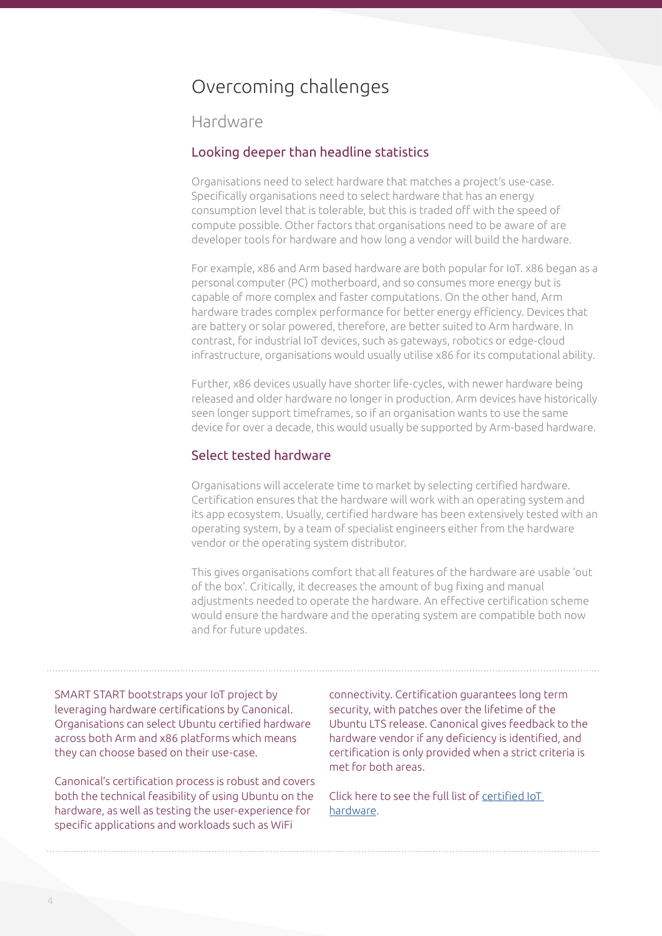### Overcoming challenges

#### Hardware

#### Looking deeper than headline statistics

Organisations need to select hardware that matches a project's use-case. Specifically organisations need to select hardware that has an energy consumption level that is tolerable, but this is traded off with the speed of compute possible. Other factors that organisations need to be aware of are developer tools for hardware and how long a vendor will build the hardware.

For example, x86 and Arm based hardware are both popular for IoT. x86 began as a personal computer (PC) motherboard, and so consumes more energy but is capable of more complex and faster computations. On the other hand, Arm hardware trades complex performance for better energy efficiency. Devices that are battery or solar powered, therefore, are better suited to Arm hardware. In contrast, for industrial IoT devices, such as gateways, robotics or edge-cloud infrastructure, organisations would usually utilise x86 for its computational ability.

Further, x86 devices usually have shorter life-cycles, with newer hardware being released and older hardware no longer in production. Arm devices have historically seen longer support timeframes, so if an organisation wants to use the same device for over a decade, this would usually be supported by Arm-based hardware.

#### Select tested hardware

Organisations will accelerate time to market by selecting certified hardware. Certification ensures that the hardware will work with an operating system and its app ecosystem. Usually, certified hardware has been extensively tested with an operating system, by a team of specialist engineers either from the hardware vendor or the operating system distributor.

This gives organisations comfort that all features of the hardware are usable 'out of the box'. Critically, it decreases the amount of bug fixing and manual adjustments needed to operate the hardware. An effective certification scheme would ensure the hardware and the operating system are compatible both now and for future updates.

SMART START bootstraps your IoT project by leveraging hardware certifications by Canonical. Organisations can select Ubuntu certified hardware across both Arm and x86 platforms which means they can choose based on their use-case.

Canonical's certification process is robust and covers both the technical feasibility of using Ubuntu on the hardware, as well as testing the user-experience for specific applications and workloads such as WiFi

connectivity. Certification guarantees long term security, with patches over the lifetime of the Ubuntu LTS release. Canonical gives feedback to the hardware vendor if any deficiency is identified, and certification is only provided when a strict criteria is met for both areas.

Click here to see the full list of [certified IoT](https://certification.ubuntu.com/iot)  [hardware.](https://certification.ubuntu.com/iot)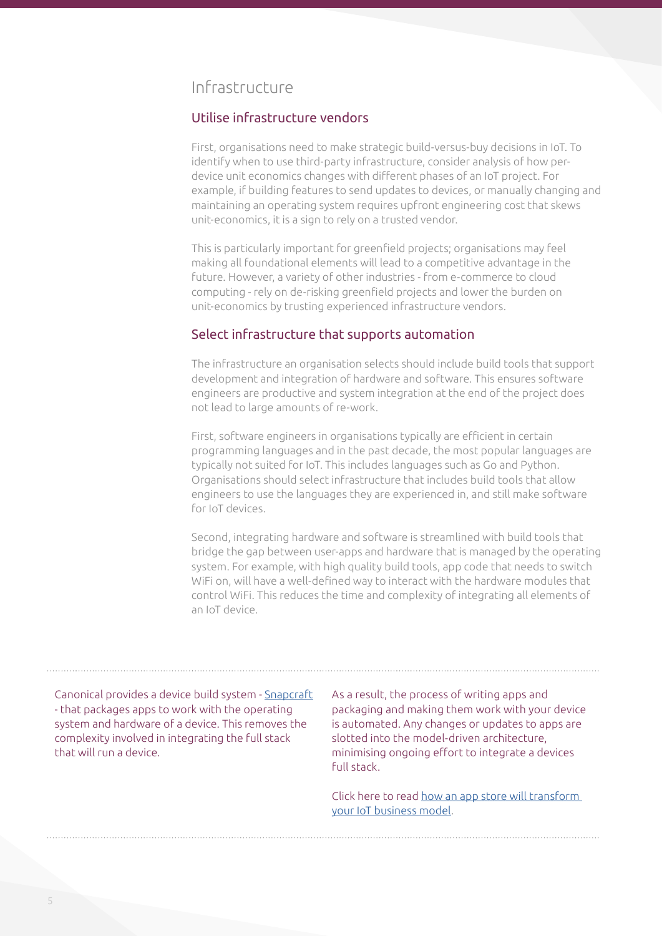### Infrastructure

#### Utilise infrastructure vendors

First, organisations need to make strategic build-versus-buy decisions in IoT. To identify when to use third-party infrastructure, consider analysis of how perdevice unit economics changes with different phases of an IoT project. For example, if building features to send updates to devices, or manually changing and maintaining an operating system requires upfront engineering cost that skews unit-economics, it is a sign to rely on a trusted vendor.

This is particularly important for greenfield projects; organisations may feel making all foundational elements will lead to a competitive advantage in the future. However, a variety of other industries - from e-commerce to cloud computing - rely on de-risking greenfield projects and lower the burden on unit-economics by trusting experienced infrastructure vendors.

#### Select infrastructure that supports automation

The infrastructure an organisation selects should include build tools that support development and integration of hardware and software. This ensures software engineers are productive and system integration at the end of the project does not lead to large amounts of re-work.

First, software engineers in organisations typically are efficient in certain programming languages and in the past decade, the most popular languages are typically not suited for IoT. This includes languages such as Go and Python. Organisations should select infrastructure that includes build tools that allow engineers to use the languages they are experienced in, and still make software for IoT devices.

Second, integrating hardware and software is streamlined with build tools that bridge the gap between user-apps and hardware that is managed by the operating system. For example, with high quality build tools, app code that needs to switch WiFi on, will have a well-defined way to interact with the hardware modules that control WiFi. This reduces the time and complexity of integrating all elements of an IoT device.

Canonical provides a device build system - [Snapcraft](https://snapcraft.io/#) - that packages apps to work with the operating system and hardware of a device. This removes the complexity involved in integrating the full stack that will run a device.

As a result, the process of writing apps and packaging and making them work with your device is automated. Any changes or updates to apps are slotted into the model-driven architecture, minimising ongoing effort to integrate a devices full stack.

Click here to read [how an app store will transform](https://ubuntu.com/engage/iot-business-model)  [your IoT business model.](https://ubuntu.com/engage/iot-business-model)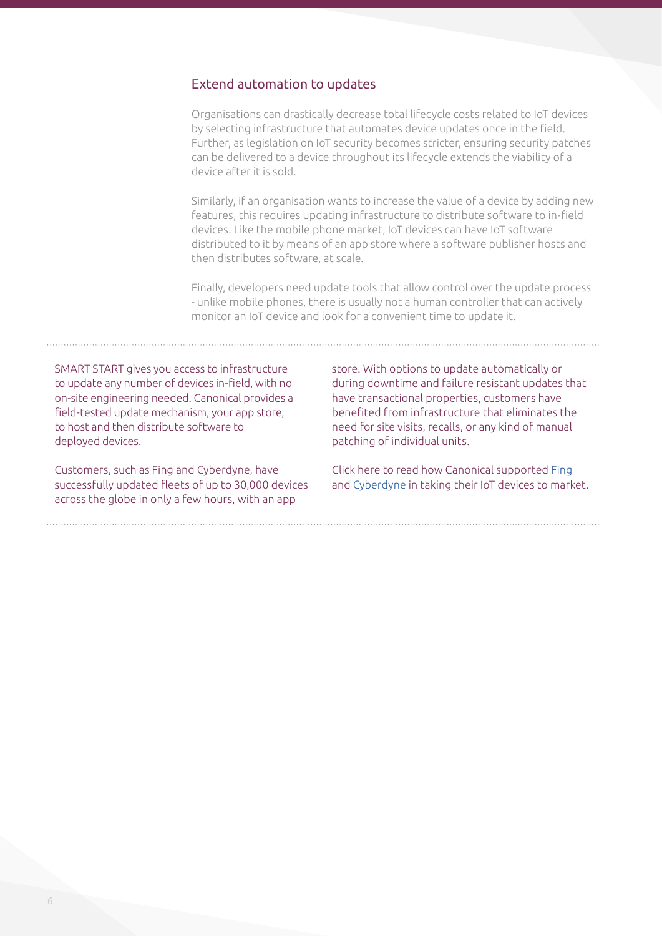#### Extend automation to updates

Organisations can drastically decrease total lifecycle costs related to IoT devices by selecting infrastructure that automates device updates once in the field. Further, as legislation on IoT security becomes stricter, ensuring security patches can be delivered to a device throughout its lifecycle extends the viability of a device after it is sold.

Similarly, if an organisation wants to increase the value of a device by adding new features, this requires updating infrastructure to distribute software to in-field devices. Like the mobile phone market, IoT devices can have IoT software distributed to it by means of an app store where a software publisher hosts and then distributes software, at scale.

Finally, developers need update tools that allow control over the update process - unlike mobile phones, there is usually not a human controller that can actively monitor an IoT device and look for a convenient time to update it.

SMART START gives you access to infrastructure to update any number of devices in-field, with no on-site engineering needed. Canonical provides a field-tested update mechanism, your app store, to host and then distribute software to deployed devices.

Customers, such as Fing and Cyberdyne, have successfully updated fleets of up to 30,000 devices across the globe in only a few hours, with an app

store. With options to update automatically or during downtime and failure resistant updates that have transactional properties, customers have benefited from infrastructure that eliminates the need for site visits, recalls, or any kind of manual patching of individual units.

Click here to read how Canonical supported [Fing](https://ubuntu.com/engage/fingbox-case-study) and [Cyberdyne](https://ubuntu.com/engage/cyberdyne) in taking their IoT devices to market.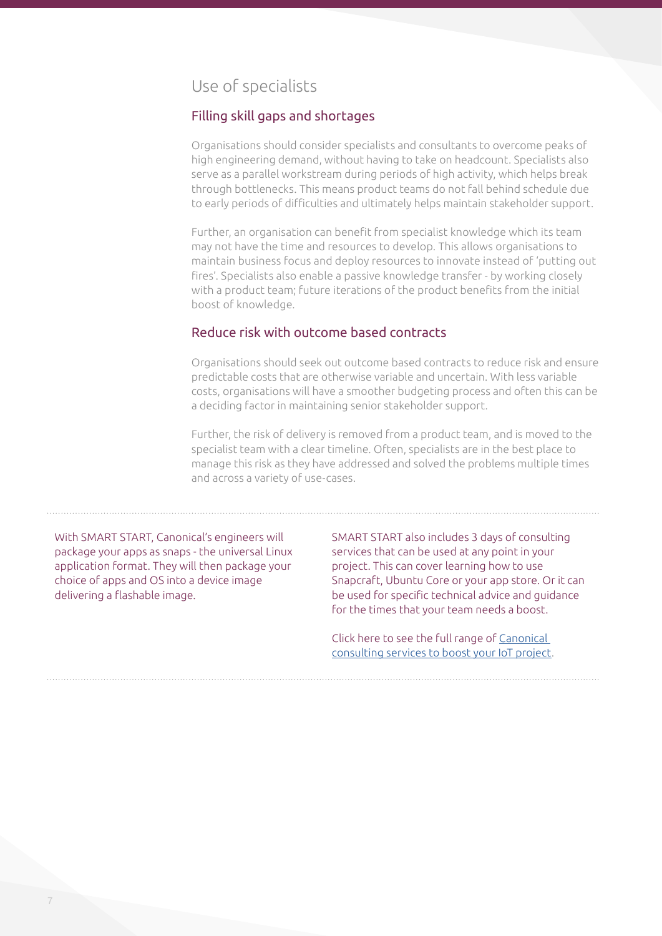### Use of specialists

#### Filling skill gaps and shortages

Organisations should consider specialists and consultants to overcome peaks of high engineering demand, without having to take on headcount. Specialists also serve as a parallel workstream during periods of high activity, which helps break through bottlenecks. This means product teams do not fall behind schedule due to early periods of difficulties and ultimately helps maintain stakeholder support.

Further, an organisation can benefit from specialist knowledge which its team may not have the time and resources to develop. This allows organisations to maintain business focus and deploy resources to innovate instead of 'putting out fires'. Specialists also enable a passive knowledge transfer - by working closely with a product team; future iterations of the product benefits from the initial boost of knowledge.

#### Reduce risk with outcome based contracts

Organisations should seek out outcome based contracts to reduce risk and ensure predictable costs that are otherwise variable and uncertain. With less variable costs, organisations will have a smoother budgeting process and often this can be a deciding factor in maintaining senior stakeholder support.

Further, the risk of delivery is removed from a product team, and is moved to the specialist team with a clear timeline. Often, specialists are in the best place to manage this risk as they have addressed and solved the problems multiple times and across a variety of use-cases.

With SMART START, Canonical's engineers will package your apps as snaps - the universal Linux application format. They will then package your choice of apps and OS into a device image delivering a flashable image.

SMART START also includes 3 days of consulting services that can be used at any point in your project. This can cover learning how to use Snapcraft, Ubuntu Core or your app store. Or it can be used for specific technical advice and guidance for the times that your team needs a boost.

Click here to see the full range of [Canonical](https://ubuntu.com/pricing/devices)  [consulting services to boost your IoT project](https://ubuntu.com/pricing/devices).